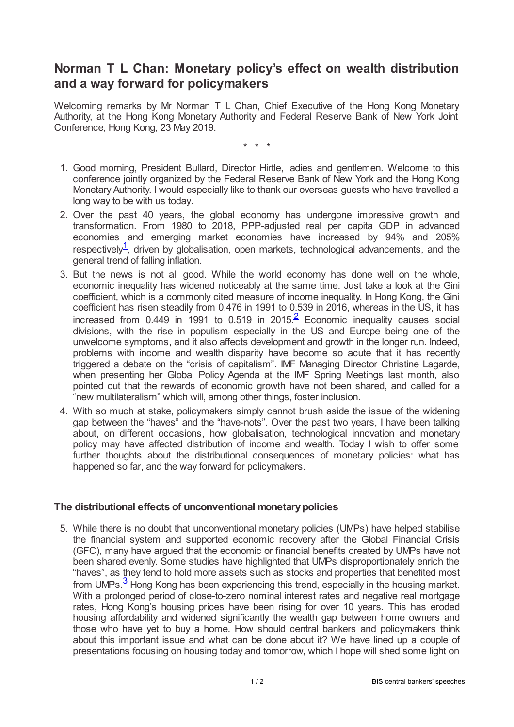## **Norman T L Chan: Monetary policy's effect on wealth distribution and a way forward for policymakers**

Welcoming remarks by Mr Norman T L Chan, Chief Executive of the Hong Kong Monetary Authority, at the Hong Kong Monetary Authority and Federal Reserve Bank of New York Joint Conference, Hong Kong, 23 May 2019.

<span id="page-0-1"></span>\* \* \*

- 1. Good morning, President Bullard, Director Hirtle, ladies and gentlemen. Welcome to this conference jointly organized by the Federal Reserve Bank of New York and the Hong Kong Monetary Authority. I would especially like to thank our overseas guests who have travelled a long way to be with us today.
- 2. Over the past 40 years, the global economy has undergone impressive growth and transformation. From 1980 to 2018, PPP-adjusted real per capita GDP in advanced economies and emerging market economies have increased by 94% and 205% respectively<sup>[1](#page-1-0)</sup>, driven by globalisation, open markets, technological advancements, and the general trend of falling inflation.
- <span id="page-0-0"></span>3. But the news is not all good. While the world economy has done well on the whole, economic inequality has widened noticeably at the same time. Just take a look at the Gini coefficient, which is a commonly cited measure of income inequality. In Hong Kong, the Gini coefficient has risen steadily from 0.476 in 1991 to 0.539 in 2016, whereas in the US, it has increased from 0.449 in 1991 to 0.519 in [2](#page-1-1)015. $\frac{2}{5}$  Economic inequality causes social divisions, with the rise in populism especially in the US and Europe being one of the unwelcome symptoms, and it also affects development and growth in the longer run. Indeed, problems with income and wealth disparity have become so acute that it has recently triggered a debate on the "crisis of capitalism". IMF Managing Director Christine Lagarde, when presenting her Global Policy Agenda at the IMF Spring Meetings last month, also pointed out that the rewards of economic growth have not been shared, and called for a "new multilateralism" which will, among other things, foster inclusion.
- 4. With so much at stake, policymakers simply cannot brush aside the issue of the widening gap between the "haves" and the "have-nots". Over the past two years, I have been talking about, on different occasions, how globalisation, technological innovation and monetary policy may have affected distribution of income and wealth. Today I wish to offer some further thoughts about the distributional consequences of monetary policies: what has happened so far, and the way forward for policymakers.

## **The distributional effects of unconventional monetarypolicies**

<span id="page-0-2"></span>5. While there is no doubt that unconventional monetary policies (UMPs) have helped stabilise the financial system and supported economic recovery after the Global Financial Crisis (GFC), many have argued that the economic or financial benefits created by UMPs have not been shared evenly. Some studies have highlighted that UMPs disproportionately enrich the "haves", as they tend to hold more assets such as stocks and properties that benefited most from UMPs.<sup>[3](#page-1-2)</sup> Hong Kong has been experiencing this trend, especially in the housing market. With a prolonged period of close-to-zero nominal interest rates and negative real mortgage rates, Hong Kong's housing prices have been rising for over 10 years. This has eroded housing affordability and widened significantly the wealth gap between home owners and those who have yet to buy a home. How should central bankers and policymakers think about this important issue and what can be done about it? We have lined up a couple of presentations focusing on housing today and tomorrow, which I hope will shed some light on